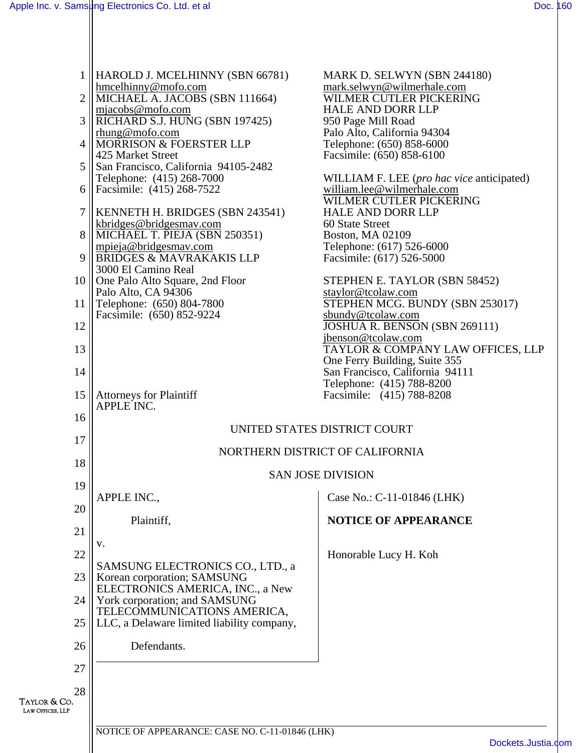|                                  | HAROLD J. MCELHINNY (SBN 66781)                                 | MARK D. SELWYN (SBN 244180)                                  |
|----------------------------------|-----------------------------------------------------------------|--------------------------------------------------------------|
| $\overline{2}$                   | hmcelhinny@mofo.com<br>MICHAEL A. JACOBS (SBN 111664)           | mark.selwyn@wilmerhale.com<br>WILMER CUTLER PICKERING        |
|                                  | mjacobs@mofo.com                                                | <b>HALE AND DORR LLP</b>                                     |
| 3                                | RICHARD S.J. HUNG (SBN 197425)                                  | 950 Page Mill Road                                           |
| $\overline{4}$                   | rhung@mofo.com<br><b>MORRISON &amp; FOERSTER LLP</b>            | Palo Alto, California 94304                                  |
|                                  | 425 Market Street                                               | Telephone: (650) 858-6000<br>Facsimile: (650) 858-6100       |
| 5                                | San Francisco, California 94105-2482                            |                                                              |
|                                  | Telephone: (415) 268-7000                                       | WILLIAM F. LEE (pro hac vice anticipated)                    |
| 6                                | Facsimile: (415) 268-7522                                       | william.lee@wilmerhale.com<br>WILMER CUTLER PICKERING        |
| $\overline{7}$                   | KENNETH H. BRIDGES (SBN 243541)                                 | <b>HALE AND DORR LLP</b>                                     |
|                                  | kbridges@bridgesmay.com<br>MICHAEL T. PIEJA (SBN 250351)        | 60 State Street                                              |
| 8                                | mpieja@bridgesmav.com                                           | <b>Boston, MA 02109</b><br>Telephone: (617) 526-6000         |
| $\mathbf Q$                      | BRIDGES & MAVRAKAKIS LLP                                        | Facsimile: (617) 526-5000                                    |
|                                  | 3000 El Camino Real                                             |                                                              |
| 10                               | One Palo Alto Square, 2nd Floor<br>Palo Alto, CA 94306          | STEPHEN E. TAYLOR (SBN 58452)<br>staylor@tcolaw.com          |
| 11                               | Telephone: (650) 804-7800                                       | STEPHEN MCG. BUNDY (SBN 253017)                              |
|                                  | Facsimile: (650) 852-9224                                       | sbundy@tcolaw.com                                            |
| 12                               |                                                                 | JOSHUA R. BENSON (SBN 269111)<br>jbenson@tcolaw.com          |
| 13                               |                                                                 | TAYLOR & COMPANY LAW OFFICES, LLP                            |
|                                  |                                                                 | One Ferry Building, Suite 355                                |
| 14                               |                                                                 | San Francisco, California 94111<br>Telephone: (415) 788-8200 |
| 15                               | <b>Attorneys for Plaintiff</b>                                  | Facsimile: (415) 788-8208                                    |
|                                  | APPLE INC.                                                      |                                                              |
| 16                               | UNITED STATES DISTRICT COURT                                    |                                                              |
| 17                               |                                                                 |                                                              |
| 18                               | NORTHERN DISTRICT OF CALIFORNIA                                 |                                                              |
|                                  | <b>SAN JOSE DIVISION</b>                                        |                                                              |
| 19                               |                                                                 |                                                              |
| 20                               | APPLE INC.,                                                     | Case No.: C-11-01846 (LHK)                                   |
|                                  | Plaintiff,                                                      | <b>NOTICE OF APPEARANCE</b>                                  |
| 21                               |                                                                 |                                                              |
| 22                               | v.                                                              | Honorable Lucy H. Koh                                        |
|                                  | SAMSUNG ELECTRONICS CO., LTD., a                                |                                                              |
| 23                               | Korean corporation; SAMSUNG<br>ELECTRONICS AMERICA, INC., a New |                                                              |
| 24                               | York corporation; and SAMSUNG                                   |                                                              |
|                                  | TELECOMMUNICATIONS AMERICA,                                     |                                                              |
| 25                               | LLC, a Delaware limited liability company,                      |                                                              |
| 26                               | Defendants.                                                     |                                                              |
|                                  |                                                                 |                                                              |
| 27                               |                                                                 |                                                              |
| 28                               |                                                                 |                                                              |
| Taylor & Co.<br>LAW OFFICES, LLP |                                                                 |                                                              |
|                                  | NOTICE OF APPEARANCE: CASE NO. C-11-01846 (LHK)                 |                                                              |
|                                  |                                                                 | Dockets.Justia.c                                             |
|                                  |                                                                 |                                                              |